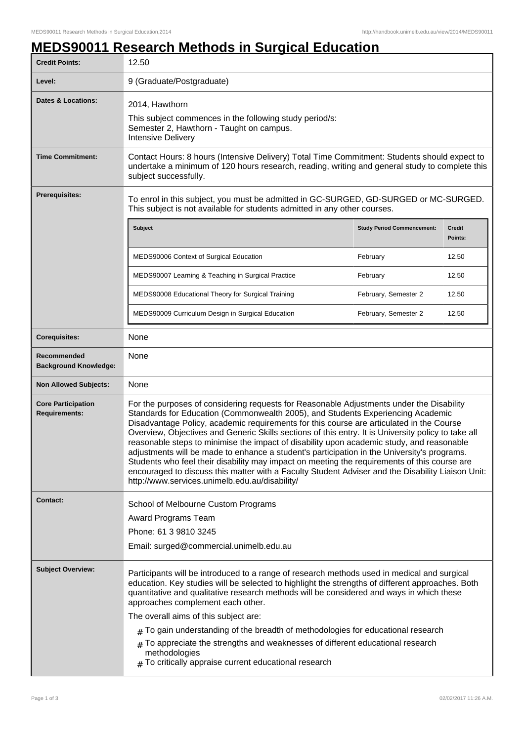## **MEDS90011 Research Methods in Surgical Education**

| <b>Credit Points:</b>                             | 12.50                                                                                                                                                                                                                                                                                                                                                                                                                                                                                                                                                                                                                                                                                                                                                                                                                             |                                   |                   |
|---------------------------------------------------|-----------------------------------------------------------------------------------------------------------------------------------------------------------------------------------------------------------------------------------------------------------------------------------------------------------------------------------------------------------------------------------------------------------------------------------------------------------------------------------------------------------------------------------------------------------------------------------------------------------------------------------------------------------------------------------------------------------------------------------------------------------------------------------------------------------------------------------|-----------------------------------|-------------------|
| Level:                                            | 9 (Graduate/Postgraduate)                                                                                                                                                                                                                                                                                                                                                                                                                                                                                                                                                                                                                                                                                                                                                                                                         |                                   |                   |
| <b>Dates &amp; Locations:</b>                     | 2014, Hawthorn<br>This subject commences in the following study period/s:<br>Semester 2, Hawthorn - Taught on campus.<br><b>Intensive Delivery</b>                                                                                                                                                                                                                                                                                                                                                                                                                                                                                                                                                                                                                                                                                |                                   |                   |
| <b>Time Commitment:</b>                           | Contact Hours: 8 hours (Intensive Delivery) Total Time Commitment: Students should expect to<br>undertake a minimum of 120 hours research, reading, writing and general study to complete this<br>subject successfully.                                                                                                                                                                                                                                                                                                                                                                                                                                                                                                                                                                                                           |                                   |                   |
| <b>Prerequisites:</b>                             | To enrol in this subject, you must be admitted in GC-SURGED, GD-SURGED or MC-SURGED.<br>This subject is not available for students admitted in any other courses.                                                                                                                                                                                                                                                                                                                                                                                                                                                                                                                                                                                                                                                                 |                                   |                   |
|                                                   | <b>Subject</b>                                                                                                                                                                                                                                                                                                                                                                                                                                                                                                                                                                                                                                                                                                                                                                                                                    | <b>Study Period Commencement:</b> | Credit<br>Points: |
|                                                   | MEDS90006 Context of Surgical Education                                                                                                                                                                                                                                                                                                                                                                                                                                                                                                                                                                                                                                                                                                                                                                                           | February                          | 12.50             |
|                                                   | MEDS90007 Learning & Teaching in Surgical Practice                                                                                                                                                                                                                                                                                                                                                                                                                                                                                                                                                                                                                                                                                                                                                                                | February                          | 12.50             |
|                                                   | MEDS90008 Educational Theory for Surgical Training                                                                                                                                                                                                                                                                                                                                                                                                                                                                                                                                                                                                                                                                                                                                                                                | February, Semester 2              | 12.50             |
|                                                   | MEDS90009 Curriculum Design in Surgical Education                                                                                                                                                                                                                                                                                                                                                                                                                                                                                                                                                                                                                                                                                                                                                                                 | February, Semester 2              | 12.50             |
| <b>Corequisites:</b>                              | None                                                                                                                                                                                                                                                                                                                                                                                                                                                                                                                                                                                                                                                                                                                                                                                                                              |                                   |                   |
| Recommended<br><b>Background Knowledge:</b>       | None                                                                                                                                                                                                                                                                                                                                                                                                                                                                                                                                                                                                                                                                                                                                                                                                                              |                                   |                   |
| <b>Non Allowed Subjects:</b>                      | None                                                                                                                                                                                                                                                                                                                                                                                                                                                                                                                                                                                                                                                                                                                                                                                                                              |                                   |                   |
| <b>Core Participation</b><br><b>Requirements:</b> | For the purposes of considering requests for Reasonable Adjustments under the Disability<br>Standards for Education (Commonwealth 2005), and Students Experiencing Academic<br>Disadvantage Policy, academic requirements for this course are articulated in the Course<br>Overview, Objectives and Generic Skills sections of this entry. It is University policy to take all<br>reasonable steps to minimise the impact of disability upon academic study, and reasonable<br>adjustments will be made to enhance a student's participation in the University's programs.<br>Students who feel their disability may impact on meeting the requirements of this course are<br>encouraged to discuss this matter with a Faculty Student Adviser and the Disability Liaison Unit:<br>http://www.services.unimelb.edu.au/disability/ |                                   |                   |
| <b>Contact:</b>                                   | School of Melbourne Custom Programs                                                                                                                                                                                                                                                                                                                                                                                                                                                                                                                                                                                                                                                                                                                                                                                               |                                   |                   |
|                                                   | Award Programs Team                                                                                                                                                                                                                                                                                                                                                                                                                                                                                                                                                                                                                                                                                                                                                                                                               |                                   |                   |
|                                                   | Phone: 61 3 9810 3245                                                                                                                                                                                                                                                                                                                                                                                                                                                                                                                                                                                                                                                                                                                                                                                                             |                                   |                   |
|                                                   | Email: surged@commercial.unimelb.edu.au                                                                                                                                                                                                                                                                                                                                                                                                                                                                                                                                                                                                                                                                                                                                                                                           |                                   |                   |
| <b>Subject Overview:</b>                          | Participants will be introduced to a range of research methods used in medical and surgical<br>education. Key studies will be selected to highlight the strengths of different approaches. Both<br>quantitative and qualitative research methods will be considered and ways in which these<br>approaches complement each other.<br>The overall aims of this subject are:<br>$_{\#}$ To gain understanding of the breadth of methodologies for educational research                                                                                                                                                                                                                                                                                                                                                               |                                   |                   |
|                                                   | $#$ To appreciate the strengths and weaknesses of different educational research<br>methodologies<br>$#$ To critically appraise current educational research                                                                                                                                                                                                                                                                                                                                                                                                                                                                                                                                                                                                                                                                      |                                   |                   |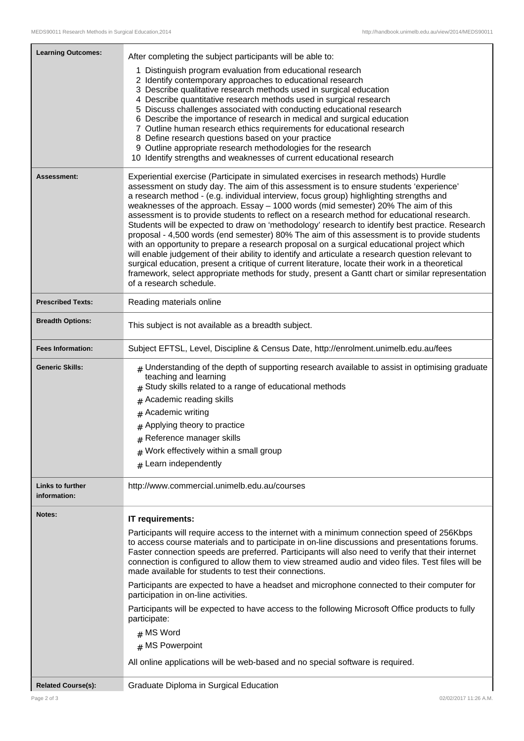| <b>Learning Outcomes:</b> | After completing the subject participants will be able to:                                                                                                                                           |  |
|---------------------------|------------------------------------------------------------------------------------------------------------------------------------------------------------------------------------------------------|--|
|                           | 1 Distinguish program evaluation from educational research                                                                                                                                           |  |
|                           | 2 Identify contemporary approaches to educational research                                                                                                                                           |  |
|                           | 3 Describe qualitative research methods used in surgical education<br>4 Describe quantitative research methods used in surgical research                                                             |  |
|                           | 5 Discuss challenges associated with conducting educational research                                                                                                                                 |  |
|                           | 6 Describe the importance of research in medical and surgical education                                                                                                                              |  |
|                           | 7 Outline human research ethics requirements for educational research<br>8 Define research questions based on your practice                                                                          |  |
|                           | 9 Outline appropriate research methodologies for the research                                                                                                                                        |  |
|                           | 10 Identify strengths and weaknesses of current educational research                                                                                                                                 |  |
| Assessment:               | Experiential exercise (Participate in simulated exercises in research methods) Hurdle                                                                                                                |  |
|                           | assessment on study day. The aim of this assessment is to ensure students 'experience'<br>a research method - (e.g. individual interview, focus group) highlighting strengths and                    |  |
|                           | weaknesses of the approach. Essay - 1000 words (mid semester) 20% The aim of this                                                                                                                    |  |
|                           | assessment is to provide students to reflect on a research method for educational research.                                                                                                          |  |
|                           | Students will be expected to draw on 'methodology' research to identify best practice. Research<br>proposal - 4,500 words (end semester) 80% The aim of this assessment is to provide students       |  |
|                           | with an opportunity to prepare a research proposal on a surgical educational project which                                                                                                           |  |
|                           | will enable judgement of their ability to identify and articulate a research question relevant to                                                                                                    |  |
|                           | surgical education, present a critique of current literature, locate their work in a theoretical<br>framework, select appropriate methods for study, present a Gantt chart or similar representation |  |
|                           | of a research schedule.                                                                                                                                                                              |  |
| <b>Prescribed Texts:</b>  | Reading materials online                                                                                                                                                                             |  |
| <b>Breadth Options:</b>   | This subject is not available as a breadth subject.                                                                                                                                                  |  |
|                           |                                                                                                                                                                                                      |  |
| <b>Fees Information:</b>  | Subject EFTSL, Level, Discipline & Census Date, http://enrolment.unimelb.edu.au/fees                                                                                                                 |  |
| <b>Generic Skills:</b>    | $#$ Understanding of the depth of supporting research available to assist in optimising graduate<br>teaching and learning                                                                            |  |
|                           | Study skills related to a range of educational methods                                                                                                                                               |  |
|                           | Academic reading skills<br>#                                                                                                                                                                         |  |
|                           | # Academic writing                                                                                                                                                                                   |  |
|                           | # Applying theory to practice                                                                                                                                                                        |  |
|                           | $#$ Reference manager skills                                                                                                                                                                         |  |
|                           | $#$ Work effectively within a small group                                                                                                                                                            |  |
|                           | $#$ Learn independently                                                                                                                                                                              |  |
| <b>Links to further</b>   | http://www.commercial.unimelb.edu.au/courses                                                                                                                                                         |  |
| information:              |                                                                                                                                                                                                      |  |
| Notes:                    | IT requirements:                                                                                                                                                                                     |  |
|                           | Participants will require access to the internet with a minimum connection speed of 256Kbps                                                                                                          |  |
|                           | to access course materials and to participate in on-line discussions and presentations forums.<br>Faster connection speeds are preferred. Participants will also need to verify that their internet  |  |
|                           | connection is configured to allow them to view streamed audio and video files. Test files will be                                                                                                    |  |
|                           | made available for students to test their connections.                                                                                                                                               |  |
|                           | Participants are expected to have a headset and microphone connected to their computer for<br>participation in on-line activities.                                                                   |  |
|                           | Participants will be expected to have access to the following Microsoft Office products to fully<br>participate:                                                                                     |  |
|                           | $#$ MS Word                                                                                                                                                                                          |  |
|                           | # MS Powerpoint                                                                                                                                                                                      |  |
|                           | All online applications will be web-based and no special software is required.                                                                                                                       |  |
| <b>Related Course(s):</b> | Graduate Diploma in Surgical Education                                                                                                                                                               |  |
|                           |                                                                                                                                                                                                      |  |